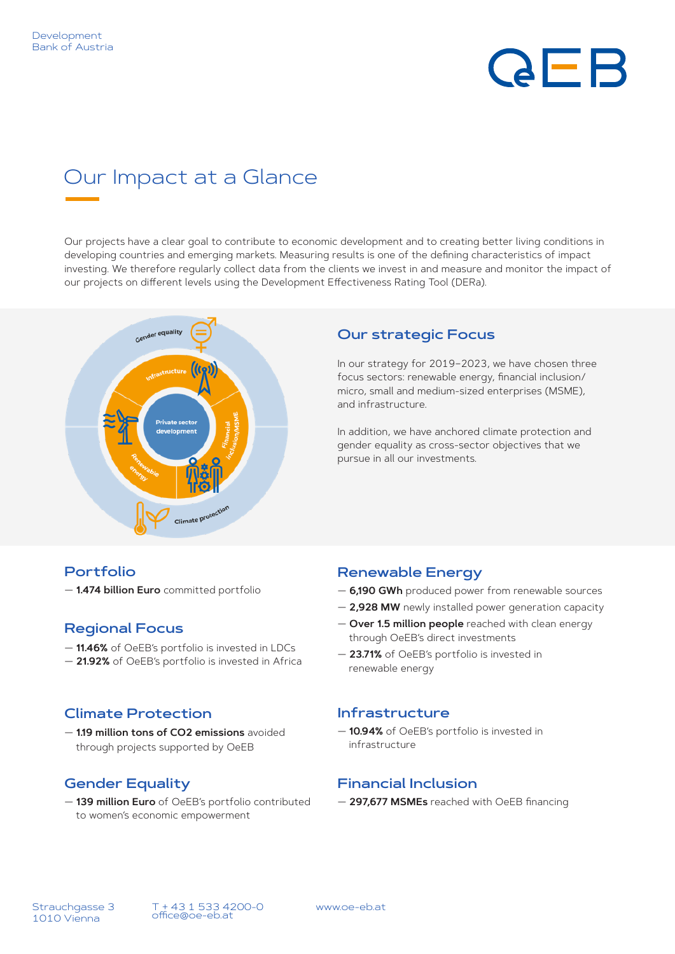# **QEB**

# Our Impact at a Glance

Our projects have a clear goal to contribute to economic development and to creating better living conditions in developing countries and emerging markets. Measuring results is one of the defining characteristics of impact investing. We therefore regularly collect data from the clients we invest in and measure and monitor the impact of our projects on different levels using the Development Effectiveness Rating Tool (DERa).



# **Our strategic Focus**

In our strategy for 2019–2023, we have chosen three focus sectors: renewable energy, financial inclusion/ micro, small and medium-sized enterprises (MSME), and infrastructure.

In addition, we have anchored climate protection and gender equality as cross-sector objectives that we pursue in all our investments.

# **Portfolio**

— **1.474 billion Euro** committed portfolio

# **Regional Focus**

- **11.46%** of OeEB's portfolio is invested in LDCs
- **21.92%** of OeEB's portfolio is invested in Africa

# **Climate Protection**

— **1.19 million tons of CO2 emissions** avoided through projects supported by OeEB

# **Gender Equality**

— **139 million Euro** of OeEB's portfolio contributed to women's economic empowerment

# **Renewable Energy**

- **6,190 GWh** produced power from renewable sources
- **2,928 MW** newly installed power generation capacity
- **Over 1.5 million people** reached with clean energy through OeEB's direct investments
- **23.71%** of OeEB's portfolio is invested in renewable energy

#### **Infrastructure**

— **10.94%** of OeEB's portfolio is invested in infrastructure

# **Financial Inclusion**

— **297,677 MSMEs** reached with OeEB financing